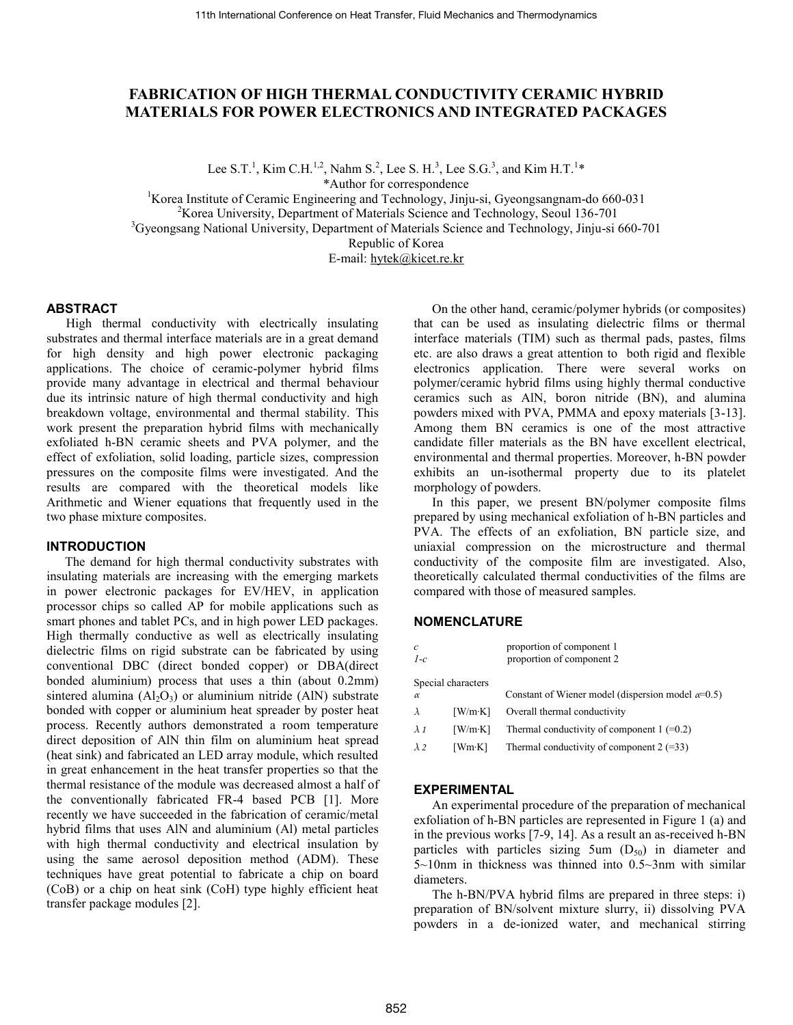# **FABRICATION OF HIGH THERMAL CONDUCTIVITY CERAMIC HYBRID MATERIALS FOR POWER ELECTRONICS AND INTEGRATED PACKAGES**

Lee S.T.<sup>1</sup>, Kim C.H.<sup>1,2</sup>, Nahm S.<sup>2</sup>, Lee S. H.<sup>3</sup>, Lee S.G.<sup>3</sup>, and Kim H.T.<sup>1\*</sup>

\*Author for correspondence

<sup>1</sup>Korea Institute of Ceramic Engineering and Technology, Jinju-si, Gyeongsangnam-do 660-031 <sup>2</sup>Korea University, Department of Materials Science and Technology, Seoul 136-701 <sup>3</sup>Gyeongsang National University, Department of Materials Science and Technology, Jinju-si 660-701 Republic of Korea

E-mail: [hytek@k](mailto:hytek@)icet.re.kr

## **ABSTRACT**

High thermal conductivity with electrically insulating substrates and thermal interface materials are in a great demand for high density and high power electronic packaging applications. The choice of ceramic-polymer hybrid films provide many advantage in electrical and thermal behaviour due its intrinsic nature of high thermal conductivity and high breakdown voltage, environmental and thermal stability. This work present the preparation hybrid films with mechanically exfoliated h-BN ceramic sheets and PVA polymer, and the effect of exfoliation, solid loading, particle sizes, compression pressures on the composite films were investigated. And the results are compared with the theoretical models like Arithmetic and Wiener equations that frequently used in the two phase mixture composites.

#### **INTRODUCTION**

The demand for high thermal conductivity substrates with insulating materials are increasing with the emerging markets in power electronic packages for EV/HEV, in application processor chips so called AP for mobile applications such as smart phones and tablet PCs, and in high power LED packages. High thermally conductive as well as electrically insulating dielectric films on rigid substrate can be fabricated by using conventional DBC (direct bonded copper) or DBA(direct bonded aluminium) process that uses a thin (about 0.2mm) sintered alumina  $(A<sub>1</sub>, O<sub>3</sub>)$  or aluminium nitride (AlN) substrate bonded with copper or aluminium heat spreader by poster heat process. Recently authors demonstrated a room temperature direct deposition of AlN thin film on aluminium heat spread (heat sink) and fabricated an LED array module, which resulted in great enhancement in the heat transfer properties so that the thermal resistance of the module was decreased almost a half of the conventionally fabricated FR-4 based PCB [1]. More recently we have succeeded in the fabrication of ceramic/metal hybrid films that uses AlN and aluminium (Al) metal particles with high thermal conductivity and electrical insulation by using the same aerosol deposition method (ADM). These techniques have great potential to fabricate a chip on board (CoB) or a chip on heat sink (CoH) type highly efficient heat transfer package modules [2].

On the other hand, ceramic/polymer hybrids (or composites) that can be used as insulating dielectric films or thermal interface materials (TIM) such as thermal pads, pastes, films etc. are also draws a great attention to both rigid and flexible electronics application. There were several works on polymer/ceramic hybrid films using highly thermal conductive ceramics such as AlN, boron nitride (BN), and alumina powders mixed with PVA, PMMA and epoxy materials [3-13]. Among them BN ceramics is one of the most attractive candidate filler materials as the BN have excellent electrical, environmental and thermal properties. Moreover, h-BN powder exhibits an un-isothermal property due to its platelet morphology of powders.

In this paper, we present BN/polymer composite films prepared by using mechanical exfoliation of h-BN particles and PVA. The effects of an exfoliation, BN particle size, and uniaxial compression on the microstructure and thermal conductivity of the composite film are investigated. Also, theoretically calculated thermal conductivities of the films are compared with those of measured samples.

#### **NOMENCLATURE**

| $\mathcal{C}$<br>$1-c$ |                    | proportion of component 1<br>proportion of component 2    |
|------------------------|--------------------|-----------------------------------------------------------|
|                        | Special characters |                                                           |
| $\alpha$               |                    | Constant of Wiener model (dispersion model $\alpha=0.5$ ) |
| $\lambda$              | [W/mK]             | Overall thermal conductivity                              |
| $\lambda$ 1            | [W/mK]             | Thermal conductivity of component $1 (=0.2)$              |
| $\lambda$ 2            | [Wm·K]             | Thermal conductivity of component $2 (=33)$               |

#### **EXPERIMENTAL**

An experimental procedure of the preparation of mechanical exfoliation of h-BN particles are represented i[n Figure 1](#page-1-0) (a) and in the previous works [7-9, 14]. As a result an as-received h-BN particles with particles sizing 5um  $(D_{50})$  in diameter and  $5{\sim}10$ nm in thickness was thinned into 0.5 ${\sim}3$ nm with similar diameters.

The h-BN/PVA hybrid films are prepared in three steps: i) preparation of BN/solvent mixture slurry, ii) dissolving PVA powders in a de-ionized water, and mechanical stirring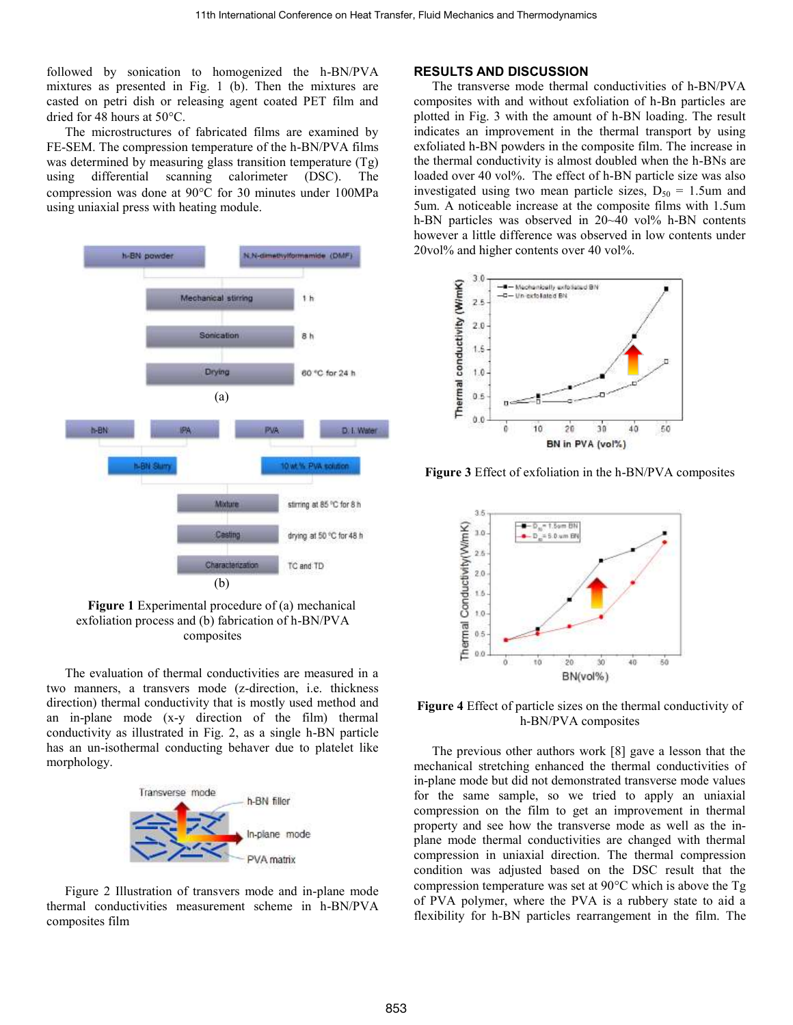followed by sonication to homogenized the h-BN/PVA mixtures as presented in Fig. 1 (b). Then the mixtures are casted on petri dish or releasing agent coated PET film and dried for 48 hours at  $50^{\circ}$ C.

The microstructures of fabricated films are examined by FE-SEM. The compression temperature of the h-BN/PVA films was determined by measuring glass transition temperature (Tg) using differential scanning calorimeter (DSC). The compression was done at 90°C for 30 minutes under 100MPa using uniaxial press with heating module.



<span id="page-1-0"></span>**Figure 1** Experimental procedure of (a) mechanical exfoliation process and (b) fabrication of h-BN/PVA composites

The evaluation of thermal conductivities are measured in a two manners, a transvers mode (z-direction, i.e. thickness direction) thermal conductivity that is mostly used method and an in-plane mode (x-y direction of the film) thermal conductivity as illustrated in Fig. 2, as a single h-BN particle has an un-isothermal conducting behaver due to platelet like morphology.



Figure 2 Illustration of transvers mode and in-plane mode thermal conductivities measurement scheme in h-BN/PVA composites film

# **RESULTS AND DISCUSSION**

The transverse mode thermal conductivities of h-BN/PVA composites with and without exfoliation of h-Bn particles are plotted in Fig. 3 with the amount of h-BN loading. The result indicates an improvement in the thermal transport by using exfoliated h-BN powders in the composite film. The increase in the thermal conductivity is almost doubled when the h-BNs are loaded over 40 vol<sup>%</sup>. The effect of h-BN particle size was also investigated using two mean particle sizes,  $D_{50} = 1.5$ um and 5um. A noticeable increase at the composite films with 1.5um h-BN particles was observed in 20~40 vol% h-BN contents however a little difference was observed in low contents under 20vol% and higher contents over 40 vol%.



**Figure 3** Effect of exfoliation in the h-BN/PVA composites



**Figure 4** Effect of particle sizes on the thermal conductivity of h-BN/PVA composites

The previous other authors work [8] gave a lesson that the mechanical stretching enhanced the thermal conductivities of in-plane mode but did not demonstrated transverse mode values for the same sample, so we tried to apply an uniaxial compression on the film to get an improvement in thermal property and see how the transverse mode as well as the inplane mode thermal conductivities are changed with thermal compression in uniaxial direction. The thermal compression condition was adjusted based on the DSC result that the compression temperature was set at  $90^{\circ}$ C which is above the Tg of PVA polymer, where the PVA is a rubbery state to aid a flexibility for h-BN particles rearrangement in the film. The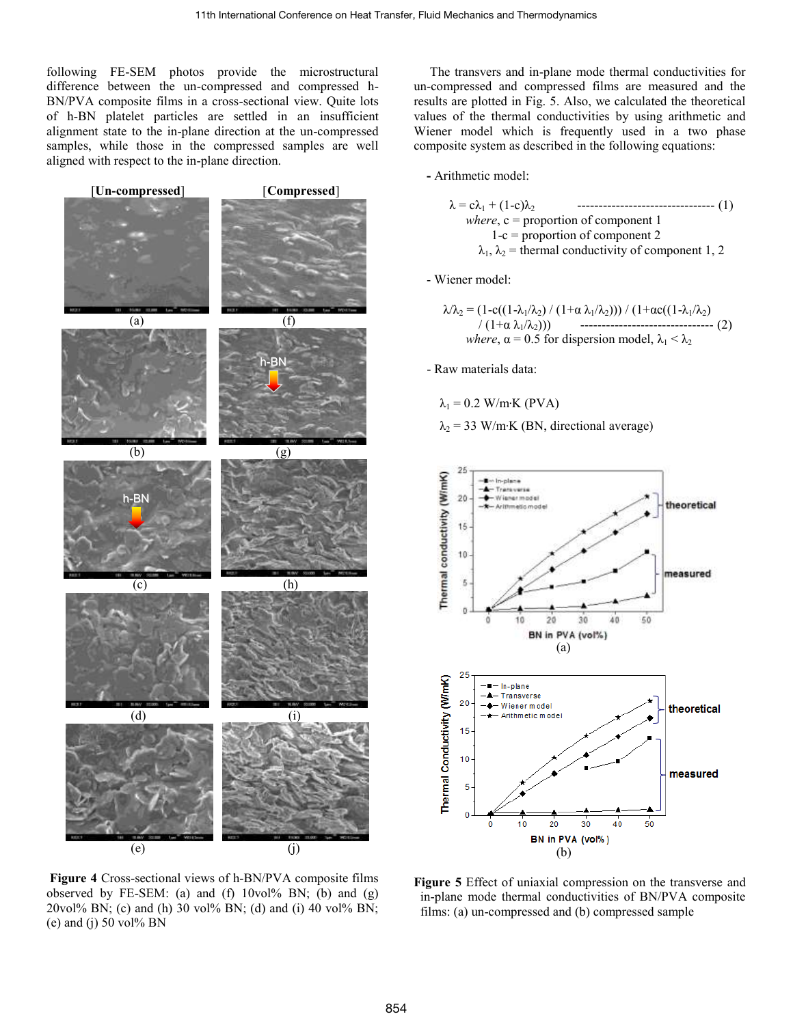following FE-SEM photos provide the microstructural difference between the un-compressed and compressed h-BN/PVA composite films in a cross-sectional view. Quite lots of h-BN platelet particles are settled in an insufficient alignment state to the in-plane direction at the un-compressed samples, while those in the compressed samples are well aligned with respect to the in-plane direction.



**Figure 4** Cross-sectional views of h-BN/PVA composite films observed by FE-SEM: (a) and (f)  $10\text{vol}\%$  BN; (b) and (g) 20vol% BN; (c) and (h) 30 vol% BN; (d) and (i) 40 vol% BN; (e) and (j) 50 vol% BN

 The transvers and in-plane mode thermal conductivities for un-compressed and compressed films are measured and the results are plotted in Fig. 5. Also, we calculated the theoretical values of the thermal conductivities by using arithmetic and Wiener model which is frequently used in a two phase composite system as described in the following equations:

**-** Arithmetic model:

$$
\lambda = c\lambda_1 + (1-c)\lambda_2
$$
  
where, c = proportion of component 1  
1-c = proportion of component 2  

$$
\lambda_1, \lambda_2
$$
 = thermal conductivity of component 1, 2

- Wiener model:

$$
\lambda/\lambda_2 = (1 - c((1 - \lambda_1/\lambda_2) / (1 + \alpha \lambda_1/\lambda_2))) / (1 + \alpha c((1 - \lambda_1/\lambda_2))
$$
  

$$
/ (1 + \alpha \lambda_1/\lambda_2)))
$$
  
*where,*  $\alpha = 0.5$  for dispersion model,  $\lambda_1 < \lambda_2$ 

- Raw materials data:

$$
\lambda_1 = 0.2 \text{ W/m·K (PVA)}
$$

 $\lambda_2$  = 33 W/m·K (BN, directional average)



**Figure 5** Effect of uniaxial compression on the transverse and in-plane mode thermal conductivities of BN/PVA composite films: (a) un-compressed and (b) compressed sample